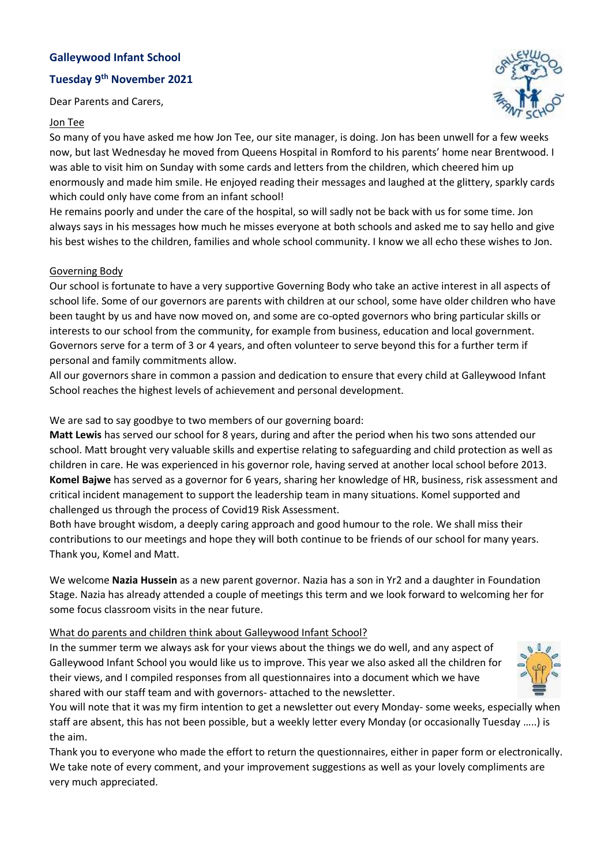# **Galleywood Infant School**

# **Tuesday 9th November 2021**

Dear Parents and Carers,

#### Jon Tee



So many of you have asked me how Jon Tee, our site manager, is doing. Jon has been unwell for a few weeks now, but last Wednesday he moved from Queens Hospital in Romford to his parents' home near Brentwood. I was able to visit him on Sunday with some cards and letters from the children, which cheered him up enormously and made him smile. He enjoyed reading their messages and laughed at the glittery, sparkly cards which could only have come from an infant school!

He remains poorly and under the care of the hospital, so will sadly not be back with us for some time. Jon always says in his messages how much he misses everyone at both schools and asked me to say hello and give his best wishes to the children, families and whole school community. I know we all echo these wishes to Jon.

#### Governing Body

Our school is fortunate to have a very supportive Governing Body who take an active interest in all aspects of school life. Some of our governors are parents with children at our school, some have older children who have been taught by us and have now moved on, and some are co-opted governors who bring particular skills or interests to our school from the community, for example from business, education and local government. Governors serve for a term of 3 or 4 years, and often volunteer to serve beyond this for a further term if personal and family commitments allow.

All our governors share in common a passion and dedication to ensure that every child at Galleywood Infant School reaches the highest levels of achievement and personal development.

We are sad to say goodbye to two members of our governing board:

**Matt Lewis** has served our school for 8 years, during and after the period when his two sons attended our school. Matt brought very valuable skills and expertise relating to safeguarding and child protection as well as children in care. He was experienced in his governor role, having served at another local school before 2013. **Komel Bajwe** has served as a governor for 6 years, sharing her knowledge of HR, business, risk assessment and critical incident management to support the leadership team in many situations. Komel supported and challenged us through the process of Covid19 Risk Assessment.

Both have brought wisdom, a deeply caring approach and good humour to the role. We shall miss their contributions to our meetings and hope they will both continue to be friends of our school for many years. Thank you, Komel and Matt.

We welcome **Nazia Hussein** as a new parent governor. Nazia has a son in Yr2 and a daughter in Foundation Stage. Nazia has already attended a couple of meetings this term and we look forward to welcoming her for some focus classroom visits in the near future.

### What do parents and children think about Galleywood Infant School?

In the summer term we always ask for your views about the things we do well, and any aspect of Galleywood Infant School you would like us to improve. This year we also asked all the children for their views, and I compiled responses from all questionnaires into a document which we have shared with our staff team and with governors- attached to the newsletter.



You will note that it was my firm intention to get a newsletter out every Monday- some weeks, especially when staff are absent, this has not been possible, but a weekly letter every Monday (or occasionally Tuesday …..) is the aim.

Thank you to everyone who made the effort to return the questionnaires, either in paper form or electronically. We take note of every comment, and your improvement suggestions as well as your lovely compliments are very much appreciated.